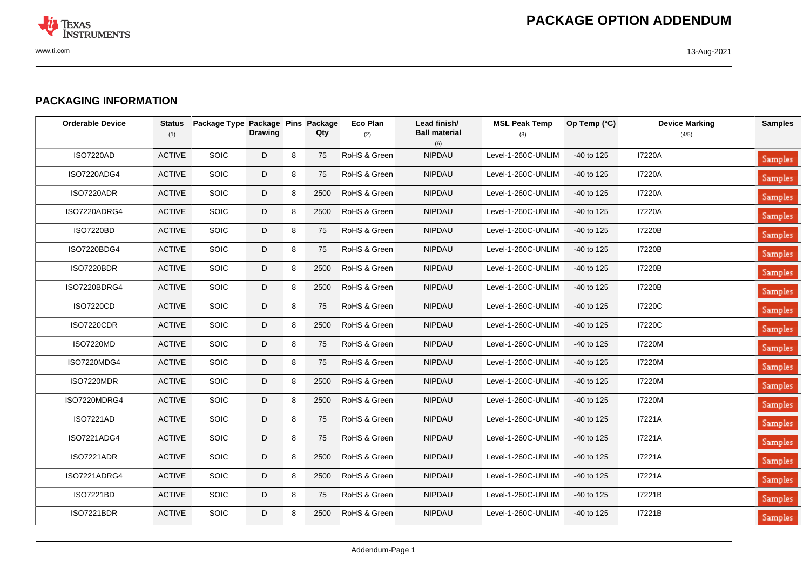

## **PACKAGING INFORMATION**

| <b>Orderable Device</b> | <b>Status</b><br>(1) | Package Type Package Pins Package | <b>Drawing</b> |   | Qty  | <b>Eco Plan</b><br>(2) | Lead finish/<br><b>Ball material</b><br>(6) | <b>MSL Peak Temp</b><br>(3) | Op Temp (°C) | <b>Device Marking</b><br>(4/5) | <b>Samples</b> |
|-------------------------|----------------------|-----------------------------------|----------------|---|------|------------------------|---------------------------------------------|-----------------------------|--------------|--------------------------------|----------------|
| <b>ISO7220AD</b>        | <b>ACTIVE</b>        | <b>SOIC</b>                       | D              | 8 | 75   | RoHS & Green           | <b>NIPDAU</b>                               | Level-1-260C-UNLIM          | -40 to 125   | <b>I7220A</b>                  | Samples        |
| ISO7220ADG4             | <b>ACTIVE</b>        | <b>SOIC</b>                       | D              | 8 | 75   | RoHS & Green           | <b>NIPDAU</b>                               | Level-1-260C-UNLIM          | -40 to 125   | <b>I7220A</b>                  | Samples        |
| ISO7220ADR              | <b>ACTIVE</b>        | <b>SOIC</b>                       | D              | 8 | 2500 | RoHS & Green           | <b>NIPDAU</b>                               | Level-1-260C-UNLIM          | -40 to 125   | <b>I7220A</b>                  | Samples        |
| ISO7220ADRG4            | <b>ACTIVE</b>        | <b>SOIC</b>                       | D              | 8 | 2500 | RoHS & Green           | <b>NIPDAU</b>                               | Level-1-260C-UNLIM          | -40 to 125   | <b>I7220A</b>                  | <b>Samples</b> |
| <b>ISO7220BD</b>        | <b>ACTIVE</b>        | <b>SOIC</b>                       | D              | 8 | 75   | RoHS & Green           | <b>NIPDAU</b>                               | Level-1-260C-UNLIM          | -40 to 125   | I7220B                         | <b>Samples</b> |
| ISO7220BDG4             | <b>ACTIVE</b>        | <b>SOIC</b>                       | D              | 8 | 75   | RoHS & Green           | <b>NIPDAU</b>                               | Level-1-260C-UNLIM          | $-40$ to 125 | <b>I7220B</b>                  | <b>Samples</b> |
| <b>ISO7220BDR</b>       | <b>ACTIVE</b>        | <b>SOIC</b>                       | D              | 8 | 2500 | RoHS & Green           | <b>NIPDAU</b>                               | Level-1-260C-UNLIM          | -40 to 125   | I7220B                         | Samples        |
| ISO7220BDRG4            | <b>ACTIVE</b>        | SOIC                              | D              | 8 | 2500 | RoHS & Green           | <b>NIPDAU</b>                               | Level-1-260C-UNLIM          | -40 to 125   | <b>I7220B</b>                  | <b>Samples</b> |
| <b>ISO7220CD</b>        | <b>ACTIVE</b>        | SOIC                              | D              | 8 | 75   | RoHS & Green           | <b>NIPDAU</b>                               | Level-1-260C-UNLIM          | -40 to 125   | <b>I7220C</b>                  | <b>Samples</b> |
| <b>ISO7220CDR</b>       | <b>ACTIVE</b>        | SOIC                              | D              | 8 | 2500 | RoHS & Green           | <b>NIPDAU</b>                               | Level-1-260C-UNLIM          | -40 to 125   | <b>I7220C</b>                  | Samples        |
| <b>ISO7220MD</b>        | <b>ACTIVE</b>        | <b>SOIC</b>                       | D              | 8 | 75   | RoHS & Green           | <b>NIPDAU</b>                               | Level-1-260C-UNLIM          | -40 to 125   | I7220M                         | Samples        |
| ISO7220MDG4             | <b>ACTIVE</b>        | <b>SOIC</b>                       | D              | 8 | 75   | RoHS & Green           | <b>NIPDAU</b>                               | Level-1-260C-UNLIM          | -40 to 125   | I7220M                         | <b>Samples</b> |
| ISO7220MDR              | <b>ACTIVE</b>        | <b>SOIC</b>                       | D              | 8 | 2500 | RoHS & Green           | <b>NIPDAU</b>                               | Level-1-260C-UNLIM          | -40 to 125   | I7220M                         | <b>Samples</b> |
| ISO7220MDRG4            | <b>ACTIVE</b>        | <b>SOIC</b>                       | D              | 8 | 2500 | RoHS & Green           | <b>NIPDAU</b>                               | Level-1-260C-UNLIM          | -40 to 125   | <b>I7220M</b>                  | <b>Samples</b> |
| <b>ISO7221AD</b>        | <b>ACTIVE</b>        | <b>SOIC</b>                       | D              | 8 | 75   | RoHS & Green           | <b>NIPDAU</b>                               | Level-1-260C-UNLIM          | -40 to 125   | I7221A                         | Samples        |
| ISO7221ADG4             | <b>ACTIVE</b>        | <b>SOIC</b>                       | D              | 8 | 75   | RoHS & Green           | <b>NIPDAU</b>                               | Level-1-260C-UNLIM          | $-40$ to 125 | <b>I7221A</b>                  | <b>Samples</b> |
| <b>ISO7221ADR</b>       | <b>ACTIVE</b>        | <b>SOIC</b>                       | D              | 8 | 2500 | RoHS & Green           | <b>NIPDAU</b>                               | Level-1-260C-UNLIM          | -40 to 125   | I7221A                         | <b>Samples</b> |
| ISO7221ADRG4            | <b>ACTIVE</b>        | <b>SOIC</b>                       | D              | 8 | 2500 | RoHS & Green           | <b>NIPDAU</b>                               | Level-1-260C-UNLIM          | -40 to 125   | I7221A                         | <b>Samples</b> |
| ISO7221BD               | <b>ACTIVE</b>        | <b>SOIC</b>                       | D              | 8 | 75   | RoHS & Green           | <b>NIPDAU</b>                               | Level-1-260C-UNLIM          | -40 to 125   | I7221B                         | Samples        |
| <b>ISO7221BDR</b>       | <b>ACTIVE</b>        | <b>SOIC</b>                       | D              | 8 | 2500 | RoHS & Green           | <b>NIPDAU</b>                               | Level-1-260C-UNLIM          | -40 to 125   | I7221B                         | Samples        |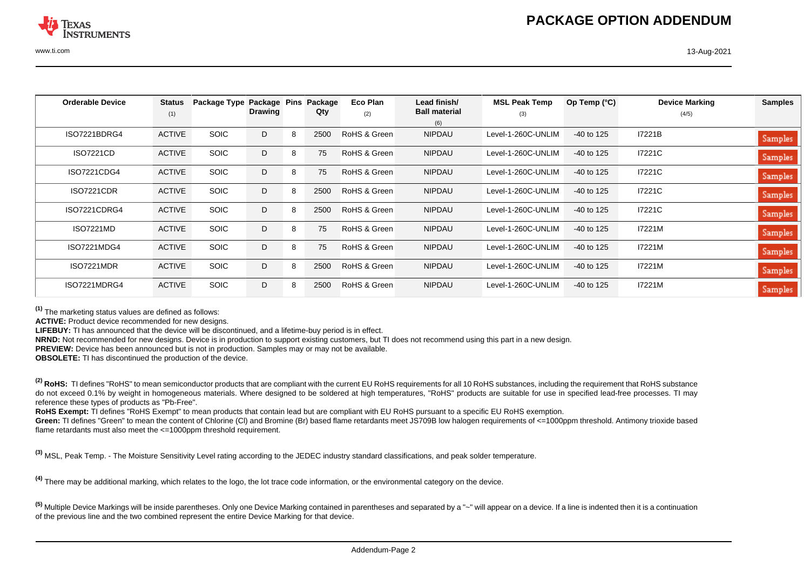| <b>Orderable Device</b> | <b>Status</b> | Package Type Package Pins | <b>Drawing</b> |   | Package<br>Qty | Eco Plan     | Lead finish/<br><b>Ball material</b> | <b>MSL Peak Temp</b> | Op Temp $(^{\circ}C)$ | <b>Device Marking</b> | <b>Samples</b> |
|-------------------------|---------------|---------------------------|----------------|---|----------------|--------------|--------------------------------------|----------------------|-----------------------|-----------------------|----------------|
|                         | (1)           |                           |                |   |                | (2)          | (6)                                  | (3)                  |                       | (4/5)                 |                |
| ISO7221BDRG4            | <b>ACTIVE</b> | <b>SOIC</b>               | D              | 8 | 2500           | RoHS & Green | <b>NIPDAU</b>                        | Level-1-260C-UNLIM   | $-40$ to 125          | I7221B                | <b>Samples</b> |
| <b>ISO7221CD</b>        | <b>ACTIVE</b> | <b>SOIC</b>               | D              | 8 | 75             | RoHS & Green | <b>NIPDAU</b>                        | Level-1-260C-UNLIM   | $-40$ to 125          | I7221C                | Samples        |
| ISO7221CDG4             | <b>ACTIVE</b> | <b>SOIC</b>               | D              | 8 | 75             | RoHS & Green | <b>NIPDAU</b>                        | Level-1-260C-UNLIM   | $-40$ to 125          | I7221C                | Samples        |
| <b>ISO7221CDR</b>       | <b>ACTIVE</b> | <b>SOIC</b>               | D              | 8 | 2500           | RoHS & Green | <b>NIPDAU</b>                        | Level-1-260C-UNLIM   | $-40$ to 125          | I7221C                | Samples        |
| ISO7221CDRG4            | <b>ACTIVE</b> | <b>SOIC</b>               | D              | 8 | 2500           | RoHS & Green | <b>NIPDAU</b>                        | Level-1-260C-UNLIM   | $-40$ to 125          | I7221C                | Samples        |
| <b>ISO7221MD</b>        | <b>ACTIVE</b> | <b>SOIC</b>               | D              | 8 | 75             | RoHS & Green | <b>NIPDAU</b>                        | Level-1-260C-UNLIM   | $-40$ to 125          | I7221M                | Samples        |
| ISO7221MDG4             | <b>ACTIVE</b> | <b>SOIC</b>               | D              | 8 | 75             | RoHS & Green | <b>NIPDAU</b>                        | Level-1-260C-UNLIM   | $-40$ to 125          | I7221M                | Samples        |
| ISO7221MDR              | <b>ACTIVE</b> | <b>SOIC</b>               | D              | 8 | 2500           | RoHS & Green | <b>NIPDAU</b>                        | Level-1-260C-UNLIM   | $-40$ to 125          | I7221M                | Samples        |
| ISO7221MDRG4            | <b>ACTIVE</b> | <b>SOIC</b>               | D              | 8 | 2500           | RoHS & Green | <b>NIPDAU</b>                        | Level-1-260C-UNLIM   | $-40$ to 125          | I7221M                | Samples        |

**(1)** The marketing status values are defined as follows:

**ACTIVE:** Product device recommended for new designs.

**LIFEBUY:** TI has announced that the device will be discontinued, and a lifetime-buy period is in effect.

**NRND:** Not recommended for new designs. Device is in production to support existing customers, but TI does not recommend using this part in a new design.

**PREVIEW:** Device has been announced but is not in production. Samples may or may not be available.

**OBSOLETE:** TI has discontinued the production of the device.

<sup>(2)</sup> RoHS: TI defines "RoHS" to mean semiconductor products that are compliant with the current EU RoHS requirements for all 10 RoHS substances, including the requirement that RoHS substance do not exceed 0.1% by weight in homogeneous materials. Where designed to be soldered at high temperatures, "RoHS" products are suitable for use in specified lead-free processes. TI may reference these types of products as "Pb-Free".

**RoHS Exempt:** TI defines "RoHS Exempt" to mean products that contain lead but are compliant with EU RoHS pursuant to a specific EU RoHS exemption.

Green: TI defines "Green" to mean the content of Chlorine (CI) and Bromine (Br) based flame retardants meet JS709B low halogen requirements of <=1000ppm threshold. Antimony trioxide based flame retardants must also meet the <=1000ppm threshold requirement.

**(3)** MSL, Peak Temp. - The Moisture Sensitivity Level rating according to the JEDEC industry standard classifications, and peak solder temperature.

**(4)** There may be additional marking, which relates to the logo, the lot trace code information, or the environmental category on the device.

**(5)** Multiple Device Markings will be inside parentheses. Only one Device Marking contained in parentheses and separated by a "~" will appear on a device. If a line is indented then it is a continuation of the previous line and the two combined represent the entire Device Marking for that device.